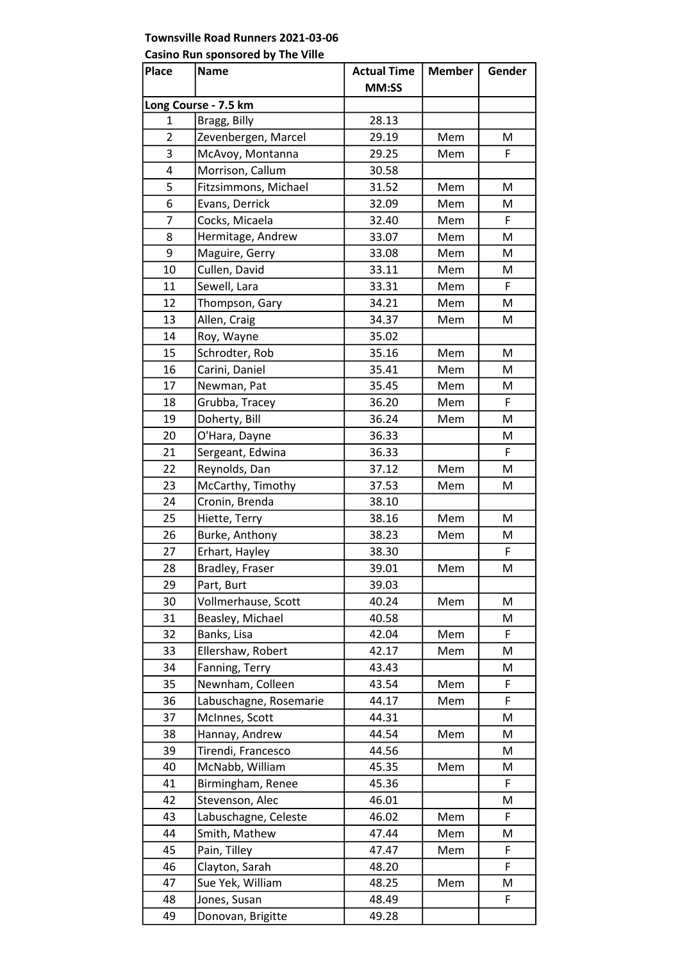## Townsville Road Runners 2021-03-06

## Casino Run sponsored by The Ville

| <b>Place</b>         | Name                   | <b>Actual Time</b> | <b>Member</b> | Gender |  |  |
|----------------------|------------------------|--------------------|---------------|--------|--|--|
|                      |                        | MM:SS              |               |        |  |  |
| Long Course - 7.5 km |                        |                    |               |        |  |  |
| 1                    | Bragg, Billy           | 28.13              |               |        |  |  |
| $\overline{2}$       | Zevenbergen, Marcel    | 29.19              | Mem           | M      |  |  |
| 3                    | McAvoy, Montanna       | 29.25              | Mem           | F      |  |  |
| 4                    | Morrison, Callum       | 30.58              |               |        |  |  |
| 5                    | Fitzsimmons, Michael   | 31.52              | Mem           | М      |  |  |
| 6                    | Evans, Derrick         | 32.09              | Mem           | M      |  |  |
| 7                    | Cocks, Micaela         | 32.40              | Mem           | F      |  |  |
| 8                    | Hermitage, Andrew      | 33.07              | Mem           | M      |  |  |
| 9                    | Maguire, Gerry         | 33.08              | Mem           | М      |  |  |
| 10                   | Cullen, David          | 33.11              | Mem           | M      |  |  |
| 11                   | Sewell, Lara           | 33.31              | Mem           | F      |  |  |
| 12                   | Thompson, Gary         | 34.21              | Mem           | M      |  |  |
| 13                   | Allen, Craig           | 34.37              | Mem           | M      |  |  |
| 14                   | Roy, Wayne             | 35.02              |               |        |  |  |
| 15                   | Schrodter, Rob         | 35.16              | Mem           | M      |  |  |
| 16                   | Carini, Daniel         | 35.41              | Mem           | M      |  |  |
| 17                   | Newman, Pat            | 35.45              | Mem           | M      |  |  |
| 18                   | Grubba, Tracey         | 36.20              | Mem           | F      |  |  |
| 19                   | Doherty, Bill          | 36.24              | Mem           | M      |  |  |
| 20                   | O'Hara, Dayne          | 36.33              |               | M      |  |  |
| 21                   | Sergeant, Edwina       | 36.33              |               | F      |  |  |
| 22                   | Reynolds, Dan          | 37.12              | Mem           | М      |  |  |
| 23                   | McCarthy, Timothy      | 37.53              | Mem           | M      |  |  |
| 24                   | Cronin, Brenda         | 38.10              |               |        |  |  |
| 25                   | Hiette, Terry          | 38.16              | Mem           | M      |  |  |
| 26                   | Burke, Anthony         | 38.23              | Mem           | M      |  |  |
| 27                   | Erhart, Hayley         | 38.30              |               | F      |  |  |
| 28                   | Bradley, Fraser        | 39.01              | Mem           | M      |  |  |
| 29                   | Part, Burt             | 39.03              |               |        |  |  |
| 30                   | Vollmerhause, Scott    | 40.24              | Mem           | M      |  |  |
| 31                   | Beasley, Michael       | 40.58              |               | M      |  |  |
| 32                   | Banks, Lisa            | 42.04              | Mem           | F      |  |  |
| 33                   | Ellershaw, Robert      | 42.17              | Mem           | M      |  |  |
| 34                   | Fanning, Terry         | 43.43              |               | M      |  |  |
| 35                   | Newnham, Colleen       | 43.54              | Mem           | F      |  |  |
| 36                   | Labuschagne, Rosemarie | 44.17              | Mem           | F      |  |  |
| 37                   | McInnes, Scott         | 44.31              |               | M      |  |  |
| 38                   | Hannay, Andrew         | 44.54              | Mem           | M      |  |  |
| 39                   | Tirendi, Francesco     | 44.56              |               | M      |  |  |
| 40                   | McNabb, William        | 45.35              | Mem           | м      |  |  |
| 41                   | Birmingham, Renee      | 45.36              |               | F      |  |  |
| 42                   | Stevenson, Alec        | 46.01              |               | M      |  |  |
| 43                   | Labuschagne, Celeste   | 46.02              | Mem           | F      |  |  |
| 44                   | Smith, Mathew          | 47.44              | Mem           | M      |  |  |
| 45                   | Pain, Tilley           | 47.47              | Mem           | F      |  |  |
| 46                   | Clayton, Sarah         | 48.20              |               | F      |  |  |
| 47                   | Sue Yek, William       | 48.25              | Mem           | М      |  |  |
| 48                   | Jones, Susan           | 48.49              |               | F      |  |  |
| 49                   | Donovan, Brigitte      | 49.28              |               |        |  |  |